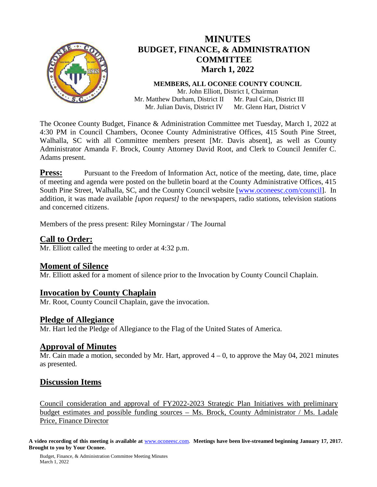

# **MINUTES BUDGET, FINANCE, & ADMINISTRATION COMMITTEE March 1, 2022**

**MEMBERS, ALL OCONEE COUNTY COUNCIL** Mr. John Elliott, District I, Chairman Mr. Matthew Durham, District II Mr. Julian Davis, District IV Mr. Paul Cain, District III Mr. Glenn Hart, District V

The Oconee County Budget, Finance & Administration Committee met Tuesday, March 1, 2022 at 4:30 PM in Council Chambers, Oconee County Administrative Offices, 415 South Pine Street, Walhalla, SC with all Committee members present [Mr. Davis absent], as well as County Administrator Amanda F. Brock, County Attorney David Root, and Clerk to Council Jennifer C. Adams present.

**Press:** Pursuant to the Freedom of Information Act, notice of the meeting, date, time, place of meeting and agenda were posted on the bulletin board at the County Administrative Offices, 415 South Pine Street, Walhalla, SC, and the County Council website [\[www.oconeesc.com/council\]](http://www.oconeesc.com/council). In addition, it was made available *[upon request]* to the newspapers, radio stations, television stations and concerned citizens.

Members of the press present: Riley Morningstar / The Journal

## **Call to Order:**

Mr. Elliott called the meeting to order at 4:32 p.m.

## **Moment of Silence**

Mr. Elliott asked for a moment of silence prior to the Invocation by County Council Chaplain.

## **Invocation by County Chaplain**

Mr. Root, County Council Chaplain, gave the invocation.

## **Pledge of Allegiance**

Mr. Hart led the Pledge of Allegiance to the Flag of the United States of America.

**Approval of Minutes**<br>Mr. Cain made a motion, seconded by Mr. Hart, approved 4 – 0, to approve the May 04, 2021 minutes as presented.

# **Discussion Items**

Council consideration and approval of FY2022-2023 Strategic Plan Initiatives with preliminary budget estimates and possible funding sources – Ms. Brock, County Administrator / Ms. Ladale Price, Finance Director

**A video recording of this meeting is available at** [www.oconeesc.com.](http://www.oconeesc.com/) **Meetings have been live-streamed beginning January 17, 2017. Brought to you by Your Oconee.**